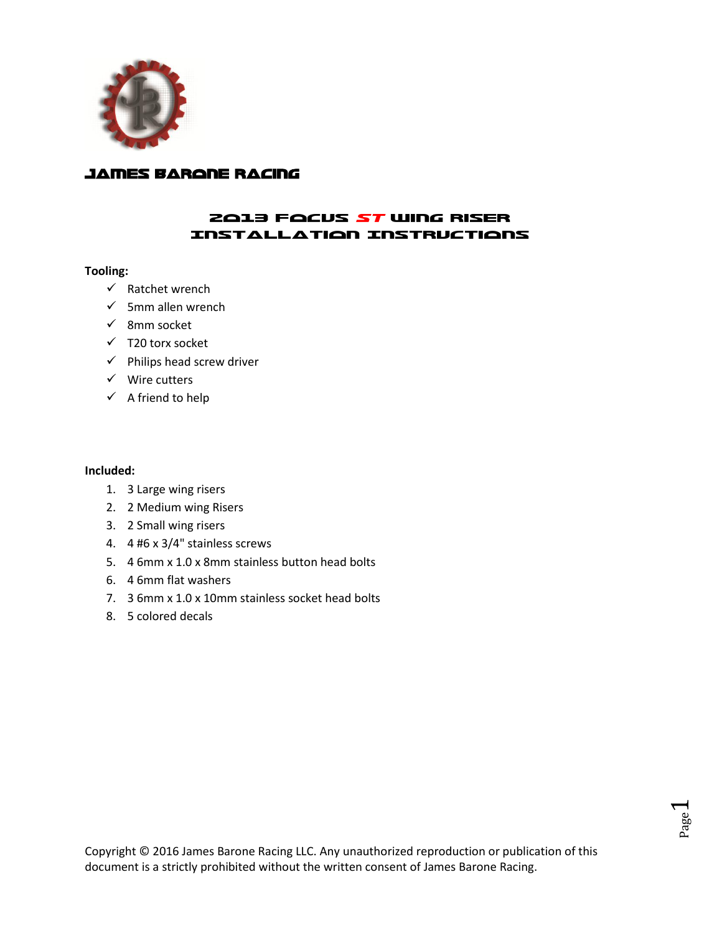

## James Barone Racing

### 2013 Focus ST Wing Riser Installation Instructions

#### **Tooling:**

- $\checkmark$  Ratchet wrench
- $\checkmark$  5mm allen wrench
- $\checkmark$  8mm socket
- $\checkmark$  T20 torx socket
- $\checkmark$  Philips head screw driver
- $\checkmark$  Wire cutters
- $\checkmark$  A friend to help

#### **Included:**

- 1. 3 Large wing risers
- 2. 2 Medium wing Risers
- 3. 2 Small wing risers
- 4. 4 #6 x 3/4" stainless screws
- 5. 4 6mm x 1.0 x 8mm stainless button head bolts
- 6. 4 6mm flat washers
- 7. 3 6mm x 1.0 x 10mm stainless socket head bolts
- 8. 5 colored decals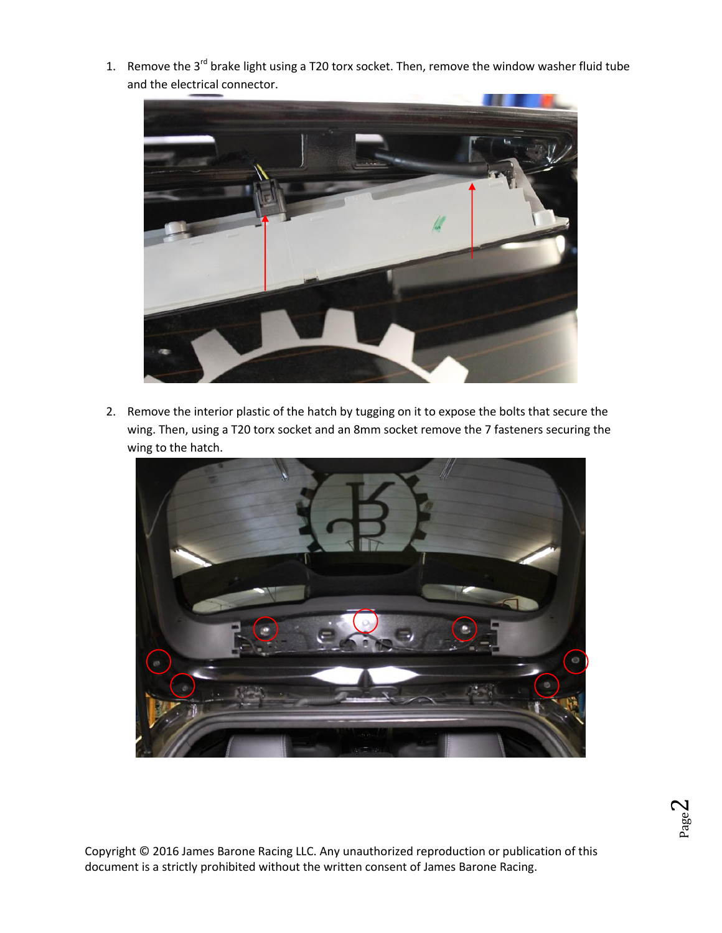1. Remove the  $3<sup>rd</sup>$  brake light using a T20 torx socket. Then, remove the window washer fluid tube and the electrical connector.



2. Remove the interior plastic of the hatch by tugging on it to expose the bolts that secure the wing. Then, using a T20 torx socket and an 8mm socket remove the 7 fasteners securing the wing to the hatch.



Copyright © 2016 James Barone Racing LLC. Any unauthorized reproduction or publication of this document is a strictly prohibited without the written consent of James Barone Racing.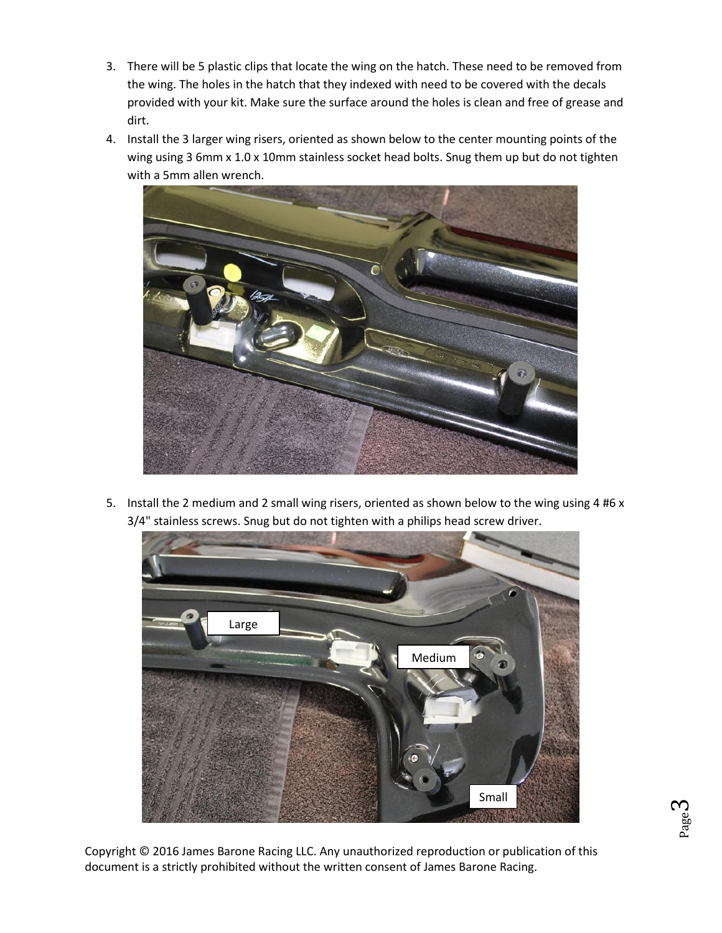- 3. There will be 5 plastic clips that locate the wing on the hatch. These need to be removed from the wing. The holes in the hatch that they indexed with need to be covered with the decals provided with your kit. Make sure the surface around the holes is clean and free of grease and dirt.
- 4. Install the 3 larger wing risers, oriented as shown below to the center mounting points of the wing using 3 6mm x 1.0 x 10mm stainless socket head bolts. Snug them up but do not tighten with a 5mm allen wrench.



5. Install the 2 medium and 2 small wing risers, oriented as shown below to the wing using 4 #6 x 3/4" stainless screws. Snug but do not tighten with a philips head screw driver.



Copyright © 2016 James Barone Racing LLC. Any unauthorized reproduction or publication of this document is a strictly prohibited without the written consent of James Barone Racing.